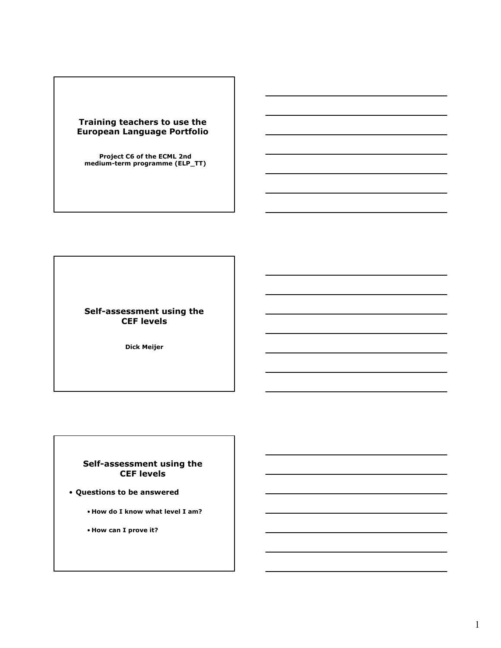## **Training teachers to use the European Language Portfolio**

**Project C6 of the ECML 2nd medium-term programme (ELP\_TT)**

**Self-assessment using the CEF levels**

**Dick Meijer**

## **Self-assessment using the CEF levels**

- **Questions to be answered** 
	- **How do I know what level I am?**
	- **How can I prove it?**